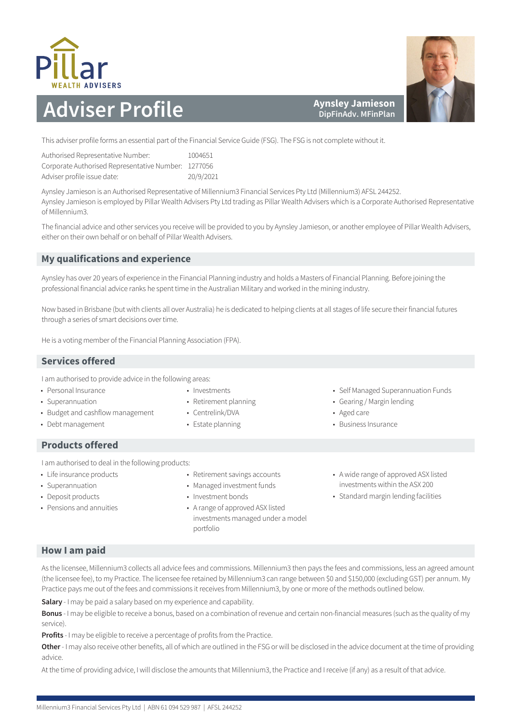



### **Aynsley Jamieson DipFinAdv. MFinPlan**

This adviser profile forms an essential part of the Financial Service Guide (FSG). The FSG is not complete without it.

| Authorised Representative Number:                   | 1004651   |
|-----------------------------------------------------|-----------|
| Corporate Authorised Representative Number: 1277056 |           |
| Adviser profile issue date:                         | 20/9/2021 |

Aynsley Jamieson is an Authorised Representative of Millennium3 Financial Services Pty Ltd (Millennium3) AFSL 244252. Aynsley Jamieson is employed by Pillar Wealth Advisers Pty Ltd trading as Pillar Wealth Advisers which is a Corporate Authorised Representative of Millennium3.

The financial advice and other services you receive will be provided to you by Aynsley Jamieson, or another employee of Pillar Wealth Advisers, either on their own behalf or on behalf of Pillar Wealth Advisers.

# **My qualifications and experience**

Aynsley has over 20 years of experience in the Financial Planning industry and holds a Masters of Financial Planning. Before joining the professional financial advice ranks he spent time in the Australian Military and worked in the mining industry.

Now based in Brisbane (but with clients all over Australia) he is dedicated to helping clients at all stages of life secure their financial futures through a series of smart decisions over time.

He is a voting member of the Financial Planning Association (FPA).

## **Services offered**

I am authorised to provide advice in the following areas:

- Personal Insurance
- Superannuation
- Budget and cashflow management
- Debt management
	-
- **Products offered**
- I am authorised to deal in the following products:
- Life insurance products
- Superannuation
- Deposit products
- Pensions and annuities
- Retirement savings accounts
- Managed investment funds
- Investment bonds

• Investments • Retirement planning • Centrelink/DVA • Estate planning

• A range of approved ASX listed investments managed under a model portfolio

- Self Managed Superannuation Funds
- Gearing / Margin lending
- Aged care
- Business Insurance
- A wide range of approved ASX listed investments within the ASX 200 • Standard margin lending facilities

# **How I am paid**

As the licensee, Millennium3 collects all advice fees and commissions. Millennium3 then pays the fees and commissions, less an agreed amount (the licensee fee), to my Practice. The licensee fee retained by Millennium3 can range between \$0 and \$150,000 (excluding GST) per annum. My Practice pays me out of the fees and commissions it receives from Millennium3, by one or more of the methods outlined below.

**Salary** - I may be paid a salary based on my experience and capability.

**Bonus** - I may be eligible to receive a bonus, based on a combination of revenue and certain non-financial measures (such as the quality of my service).

**Profits** - I may be eligible to receive a percentage of profits from the Practice.

**Other** - I may also receive other benefits, all of which are outlined in the FSG or will be disclosed in the advice document at the time of providing advice.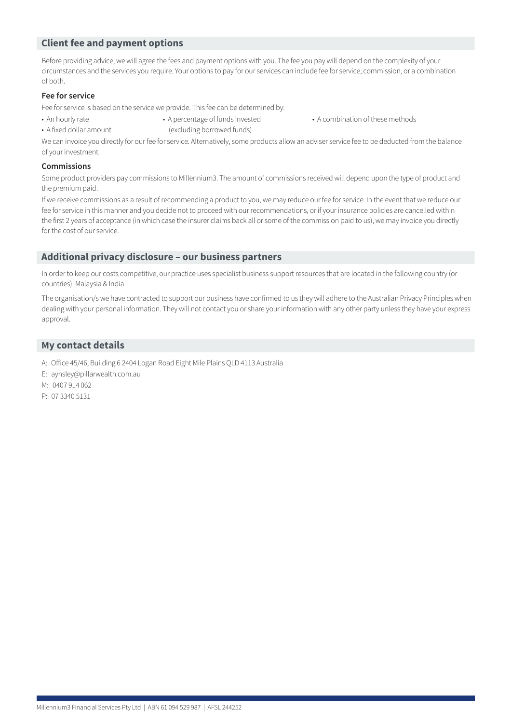Before providing advice, we will agree the fees and payment options with you. The fee you pay will depend on the complexity of your circumstances and the services you require. Your options to pay for our services can include fee for service, commission, or a combination of both.

### **Fee for service**

Fee for service is based on the service we provide. This fee can be determined by:

- 
- A fixed dollar amount (excluding borrowed funds)
- An hourly rate A percentage of funds invested A combination of these methods
- 

We can invoice you directly for our fee for service. Alternatively, some products allow an adviser service fee to be deducted from the balance of your investment.

#### **Commissions**

Some product providers pay commissions to Millennium3. The amount of commissions received will depend upon the type of product and the premium paid.

If we receive commissions as a result of recommending a product to you, we may reduce our fee for service. In the event that we reduce our fee for service in this manner and you decide not to proceed with our recommendations, or if your insurance policies are cancelled within the first 2 years of acceptance (in which case the insurer claims back all or some of the commission paid to us), we may invoice you directly for the cost of our service.

### **Additional privacy disclosure – our business partners**

In order to keep our costs competitive, our practice uses specialist business support resources that are located in the following country (or countries): Malaysia & India

The organisation/s we have contracted to support our business have confirmed to us they will adhere to the Australian Privacy Principles when dealing with your personal information. They will not contact you or share your information with any other party unless they have your express approval.

- A: Office 45/46, Building 6 2404 Logan Road Eight Mile Plains QLD 4113 Australia
- E: aynsley@pillarwealth.com.au
- M: 0407 914 062
- P: 07 3340 5131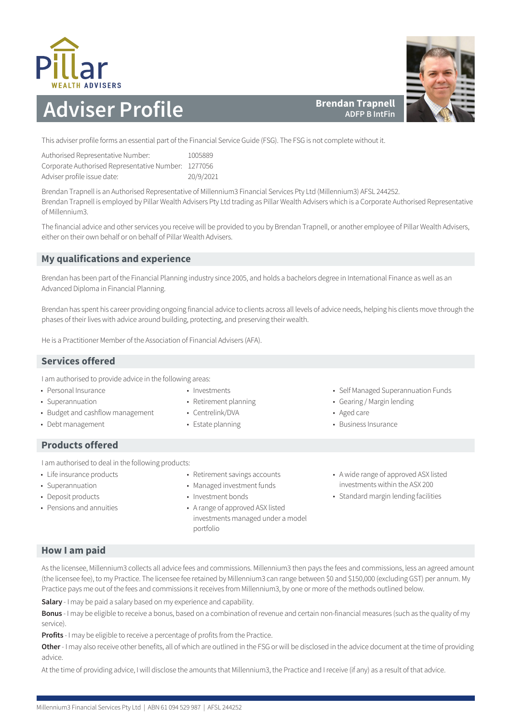



**Brendan Trapnell ADFP B IntFin**

This adviser profile forms an essential part of the Financial Service Guide (FSG). The FSG is not complete without it.

| Authorised Representative Number:                   | 1005889   |
|-----------------------------------------------------|-----------|
| Corporate Authorised Representative Number: 1277056 |           |
| Adviser profile issue date:                         | 20/9/2021 |

Brendan Trapnell is an Authorised Representative of Millennium3 Financial Services Pty Ltd (Millennium3) AFSL 244252. Brendan Trapnell is employed by Pillar Wealth Advisers Pty Ltd trading as Pillar Wealth Advisers which is a Corporate Authorised Representative of Millennium3.

The financial advice and other services you receive will be provided to you by Brendan Trapnell, or another employee of Pillar Wealth Advisers, either on their own behalf or on behalf of Pillar Wealth Advisers.

# **My qualifications and experience**

Brendan has been part of the Financial Planning industry since 2005, and holds a bachelors degree in International Finance as well as an Advanced Diploma in Financial Planning.

Brendan has spent his career providing ongoing financial advice to clients across all levels of advice needs, helping his clients move through the phases of their lives with advice around building, protecting, and preserving their wealth.

He is a Practitioner Member of the Association of Financial Advisers (AFA).

## **Services offered**

I am authorised to provide advice in the following areas:

- Personal Insurance
- Superannuation
- Budget and cashflow management
- Debt management

## **Products offered**

I am authorised to deal in the following products:

- Life insurance products
- Superannuation
- Deposit products
- Pensions and annuities
- Retirement savings accounts
- Managed investment funds
- Investment bonds

• Investments • Retirement planning • Centrelink/DVA • Estate planning

• A range of approved ASX listed investments managed under a model portfolio

- Self Managed Superannuation Funds
- Gearing / Margin lending
- Aged care
- Business Insurance
- A wide range of approved ASX listed investments within the ASX 200
- Standard margin lending facilities

# **How I am paid**

As the licensee, Millennium3 collects all advice fees and commissions. Millennium3 then pays the fees and commissions, less an agreed amount (the licensee fee), to my Practice. The licensee fee retained by Millennium3 can range between \$0 and \$150,000 (excluding GST) per annum. My Practice pays me out of the fees and commissions it receives from Millennium3, by one or more of the methods outlined below.

**Salary** - I may be paid a salary based on my experience and capability.

**Bonus** - I may be eligible to receive a bonus, based on a combination of revenue and certain non-financial measures (such as the quality of my service).

**Profits** - I may be eligible to receive a percentage of profits from the Practice.

**Other** - I may also receive other benefits, all of which are outlined in the FSG or will be disclosed in the advice document at the time of providing advice.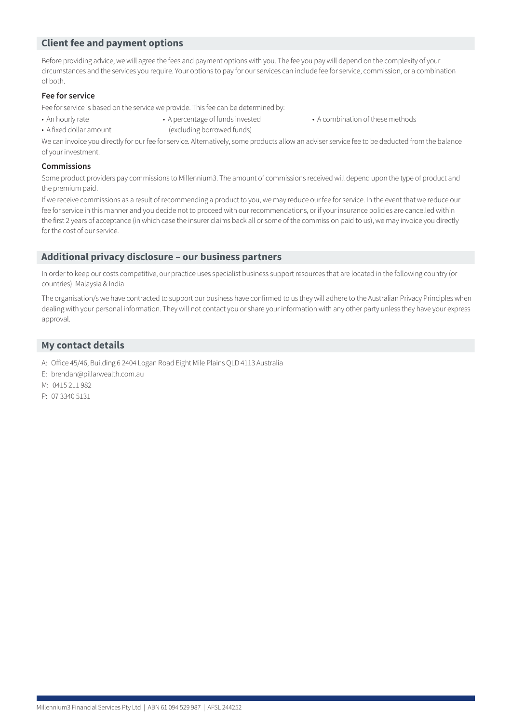Before providing advice, we will agree the fees and payment options with you. The fee you pay will depend on the complexity of your circumstances and the services you require. Your options to pay for our services can include fee for service, commission, or a combination of both.

### **Fee for service**

Fee for service is based on the service we provide. This fee can be determined by:

- 
- A fixed dollar amount (excluding borrowed funds)
- An hourly rate A percentage of funds invested A combination of these methods
- 

We can invoice you directly for our fee for service. Alternatively, some products allow an adviser service fee to be deducted from the balance of your investment.

#### **Commissions**

Some product providers pay commissions to Millennium3. The amount of commissions received will depend upon the type of product and the premium paid.

If we receive commissions as a result of recommending a product to you, we may reduce our fee for service. In the event that we reduce our fee for service in this manner and you decide not to proceed with our recommendations, or if your insurance policies are cancelled within the first 2 years of acceptance (in which case the insurer claims back all or some of the commission paid to us), we may invoice you directly for the cost of our service.

### **Additional privacy disclosure – our business partners**

In order to keep our costs competitive, our practice uses specialist business support resources that are located in the following country (or countries): Malaysia & India

The organisation/s we have contracted to support our business have confirmed to us they will adhere to the Australian Privacy Principles when dealing with your personal information. They will not contact you or share your information with any other party unless they have your express approval.

- A: Office 45/46, Building 6 2404 Logan Road Eight Mile Plains QLD 4113 Australia
- E: brendan@pillarwealth.com.au
- M: 0415 211 982
- P: 07 3340 5131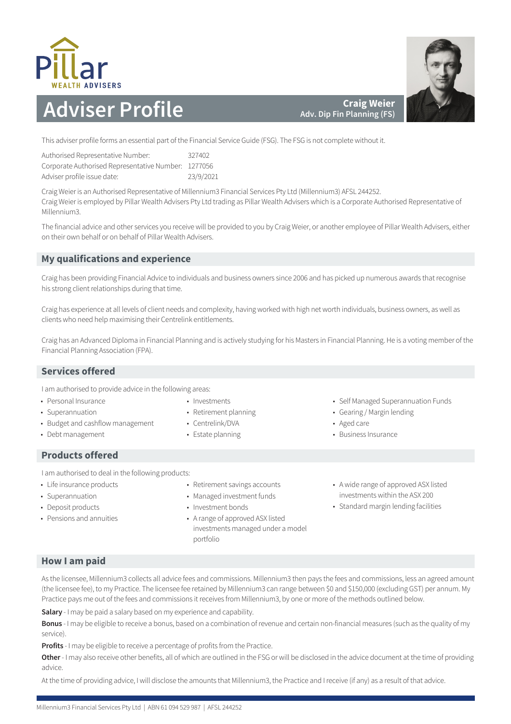



**Craig Weier Adv. Dip Fin Planning (FS)**

This adviser profile forms an essential part of the Financial Service Guide (FSG). The FSG is not complete without it.

| Authorised Representative Number:                   | 327402    |
|-----------------------------------------------------|-----------|
| Corporate Authorised Representative Number: 1277056 |           |
| Adviser profile issue date:                         | 23/9/2021 |

Craig Weier is an Authorised Representative of Millennium3 Financial Services Pty Ltd (Millennium3) AFSL 244252. Craig Weier is employed by Pillar Wealth Advisers Pty Ltd trading as Pillar Wealth Advisers which is a Corporate Authorised Representative of Millennium3.

The financial advice and other services you receive will be provided to you by Craig Weier, or another employee of Pillar Wealth Advisers, either on their own behalf or on behalf of Pillar Wealth Advisers.

# **My qualifications and experience**

Craig has been providing Financial Advice to individuals and business owners since 2006 and has picked up numerous awards that recognise his strong client relationships during that time.

Craig has experience at all levels of client needs and complexity, having worked with high net worth individuals, business owners, as well as clients who need help maximising their Centrelink entitlements.

Craig has an Advanced Diploma in Financial Planning and is actively studying for his Masters in Financial Planning. He is a voting member of the Financial Planning Association (FPA).

## **Services offered**

I am authorised to provide advice in the following areas:

- Personal Insurance
- Superannuation
- Budget and cashflow management
- Debt management
- Investments
- Retirement planning
- Centrelink/DVA
- Estate planning
- **Products offered**

I am authorised to deal in the following products:

- Life insurance products
- Superannuation
- Deposit products
- Pensions and annuities
- 
- Retirement savings accounts • Managed investment funds
- Investment bonds
- A range of approved ASX listed investments managed under a model portfolio
- Self Managed Superannuation Funds
- Gearing / Margin lending
- Aged care
- Business Insurance
- A wide range of approved ASX listed investments within the ASX 200
- Standard margin lending facilities

# **How I am paid**

As the licensee, Millennium3 collects all advice fees and commissions. Millennium3 then pays the fees and commissions, less an agreed amount (the licensee fee), to my Practice. The licensee fee retained by Millennium3 can range between \$0 and \$150,000 (excluding GST) per annum. My Practice pays me out of the fees and commissions it receives from Millennium3, by one or more of the methods outlined below.

**Salary** - I may be paid a salary based on my experience and capability.

**Bonus** - I may be eligible to receive a bonus, based on a combination of revenue and certain non-financial measures (such as the quality of my service).

**Profits** - I may be eligible to receive a percentage of profits from the Practice.

**Other** - I may also receive other benefits, all of which are outlined in the FSG or will be disclosed in the advice document at the time of providing advice.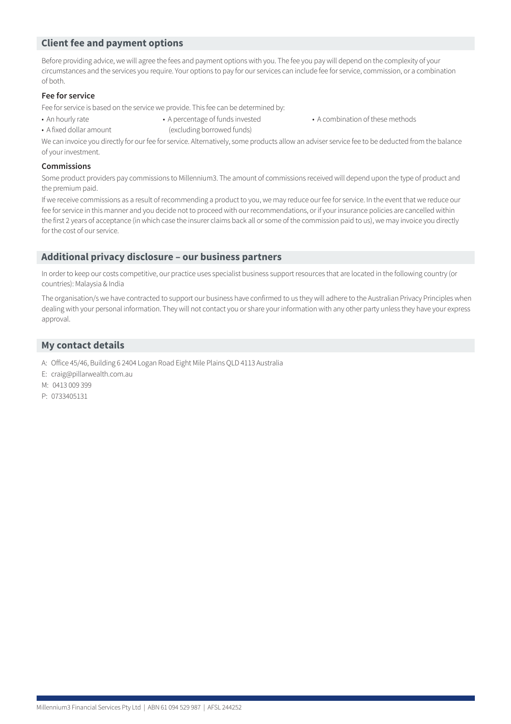Before providing advice, we will agree the fees and payment options with you. The fee you pay will depend on the complexity of your circumstances and the services you require. Your options to pay for our services can include fee for service, commission, or a combination of both.

### **Fee for service**

Fee for service is based on the service we provide. This fee can be determined by:

- 
- A fixed dollar amount (excluding borrowed funds)
- An hourly rate A percentage of funds invested A combination of these methods
- 

We can invoice you directly for our fee for service. Alternatively, some products allow an adviser service fee to be deducted from the balance of your investment.

#### **Commissions**

Some product providers pay commissions to Millennium3. The amount of commissions received will depend upon the type of product and the premium paid.

If we receive commissions as a result of recommending a product to you, we may reduce our fee for service. In the event that we reduce our fee for service in this manner and you decide not to proceed with our recommendations, or if your insurance policies are cancelled within the first 2 years of acceptance (in which case the insurer claims back all or some of the commission paid to us), we may invoice you directly for the cost of our service.

### **Additional privacy disclosure – our business partners**

In order to keep our costs competitive, our practice uses specialist business support resources that are located in the following country (or countries): Malaysia & India

The organisation/s we have contracted to support our business have confirmed to us they will adhere to the Australian Privacy Principles when dealing with your personal information. They will not contact you or share your information with any other party unless they have your express approval.

- A: Office 45/46, Building 6 2404 Logan Road Eight Mile Plains QLD 4113 Australia
- E: craig@pillarwealth.com.au
- M: 0413 009 399
- P: 0733405131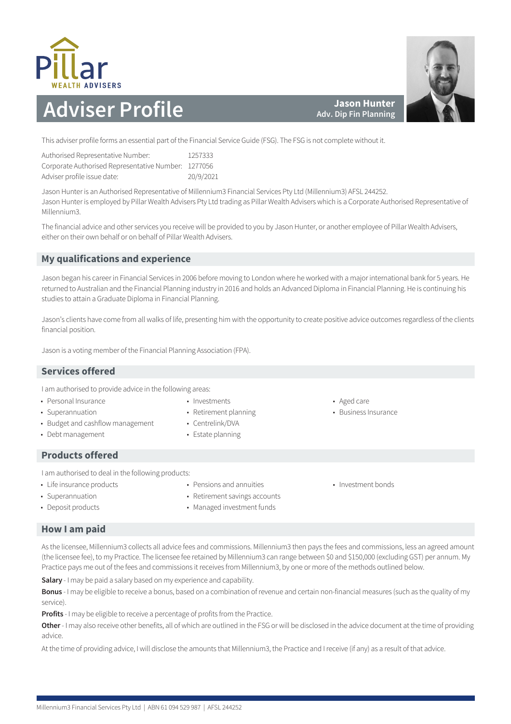

**Jason Hunter Adv. Dip Fin Planning**

This adviser profile forms an essential part of the Financial Service Guide (FSG). The FSG is not complete without it.

| Authorised Representative Number:                   | 1257333   |
|-----------------------------------------------------|-----------|
| Corporate Authorised Representative Number: 1277056 |           |
| Adviser profile issue date:                         | 20/9/2021 |

Jason Hunter is an Authorised Representative of Millennium3 Financial Services Pty Ltd (Millennium3) AFSL 244252. Jason Hunter is employed by Pillar Wealth Advisers Pty Ltd trading as Pillar Wealth Advisers which is a Corporate Authorised Representative of Millennium3.

The financial advice and other services you receive will be provided to you by Jason Hunter, or another employee of Pillar Wealth Advisers, either on their own behalf or on behalf of Pillar Wealth Advisers.

# **My qualifications and experience**

Jason began his career in Financial Services in 2006 before moving to London where he worked with a major international bank for 5 years. He returned to Australian and the Financial Planning industry in 2016 and holds an Advanced Diploma in Financial Planning. He is continuing his studies to attain a Graduate Diploma in Financial Planning.

Jason's clients have come from all walks of life, presenting him with the opportunity to create positive advice outcomes regardless of the clients financial position.

Jason is a voting member of the Financial Planning Association (FPA).

## **Services offered**

I am authorised to provide advice in the following areas:

- Personal Insurance
- Superannuation
	-
- Budget and cashflow management • Debt management
- Investments • Retirement planning
- Centrelink/DVA
- Estate planning
- **Products offered**

I am authorised to deal in the following products:

- Life insurance products
- Pensions and annuities

• Superannuation • Deposit products

- Retirement savings accounts
- Managed investment funds
- Investment bonds

• Aged care

• Business Insurance

## **How I am paid**

As the licensee, Millennium3 collects all advice fees and commissions. Millennium3 then pays the fees and commissions, less an agreed amount (the licensee fee), to my Practice. The licensee fee retained by Millennium3 can range between \$0 and \$150,000 (excluding GST) per annum. My Practice pays me out of the fees and commissions it receives from Millennium3, by one or more of the methods outlined below.

**Salary** - I may be paid a salary based on my experience and capability.

**Bonus** - I may be eligible to receive a bonus, based on a combination of revenue and certain non-financial measures (such as the quality of my service).

**Profits** - I may be eligible to receive a percentage of profits from the Practice.

**Other** - I may also receive other benefits, all of which are outlined in the FSG or will be disclosed in the advice document at the time of providing advice.